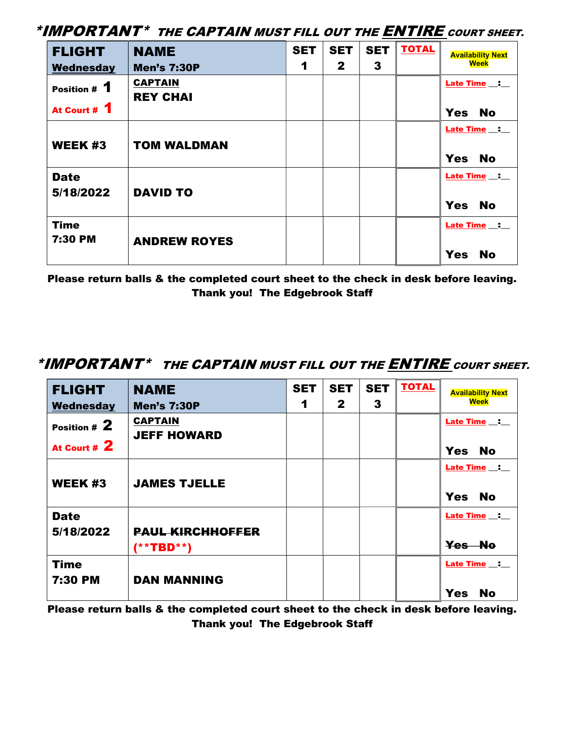\*IMPORTANT\* THE CAPTAIN MUST FILL OUT THE ENTIRE COURT SHEET.

| <b>FLIGHT</b>                | <b>NAME</b>                       | <b>SET</b> | <b>SET</b>   | <b>SET</b>   | <b>TOTAL</b> | <b>Availability Next</b>                   |
|------------------------------|-----------------------------------|------------|--------------|--------------|--------------|--------------------------------------------|
| Wednesday                    | <b>Men's 7:30P</b>                | 1          | $\mathbf{2}$ | $\mathbf{3}$ |              | <b>Week</b>                                |
| Position # 1<br>At Court # 1 | <b>CAPTAIN</b><br><b>REY CHAI</b> |            |              |              |              | Late Time _: __<br><b>Yes</b><br><b>No</b> |
|                              |                                   |            |              |              |              |                                            |
| <b>WEEK #3</b>               | <b>TOM WALDMAN</b>                |            |              |              |              | Late Time _:<br><b>Yes</b><br><b>No</b>    |
| <b>Date</b><br>5/18/2022     | <b>DAVID TO</b>                   |            |              |              |              | Late Time _:<br><b>Yes</b><br><b>No</b>    |
| <b>Time</b><br>7:30 PM       | <b>ANDREW ROYES</b>               |            |              |              |              | Late Time _: __<br><b>Yes</b><br><b>No</b> |

Please return balls & the completed court sheet to the check in desk before leaving. Thank you! The Edgebrook Staff

## \*IMPORTANT\* THE CAPTAIN MUST FILL OUT THE **ENTIRE** COURT SHEET.

| <b>FLIGHT</b>                  | <b>NAME</b>                          | <b>SET</b> | <b>SET</b>   | <b>SET</b> | <b>TOTAL</b> | <b>Availability Next</b>                           |
|--------------------------------|--------------------------------------|------------|--------------|------------|--------------|----------------------------------------------------|
| Wednesday                      | <b>Men's 7:30P</b>                   | 1          | $\mathbf{2}$ | 3          |              | <b>Week</b>                                        |
| Position $# 2$<br>At Court # 2 | <b>CAPTAIN</b><br><b>JEFF HOWARD</b> |            |              |            |              | Late Time _:<br><b>Yes</b><br><b>No</b>            |
| <b>WEEK #3</b>                 | <b>JAMES TJELLE</b>                  |            |              |            |              | <b>Late Time __: __</b><br><b>Yes</b><br><b>No</b> |
| <b>Date</b><br>5/18/2022       | <b>PAUL KIRCHHOFFER</b><br>(**TBD**) |            |              |            |              | Late Time _:<br>Yes No                             |
| <b>Time</b><br>7:30 PM         | <b>DAN MANNING</b>                   |            |              |            |              | Late Time _:<br><b>Yes</b><br><b>No</b>            |

Please return balls & the completed court sheet to the check in desk before leaving. Thank you! The Edgebrook Staff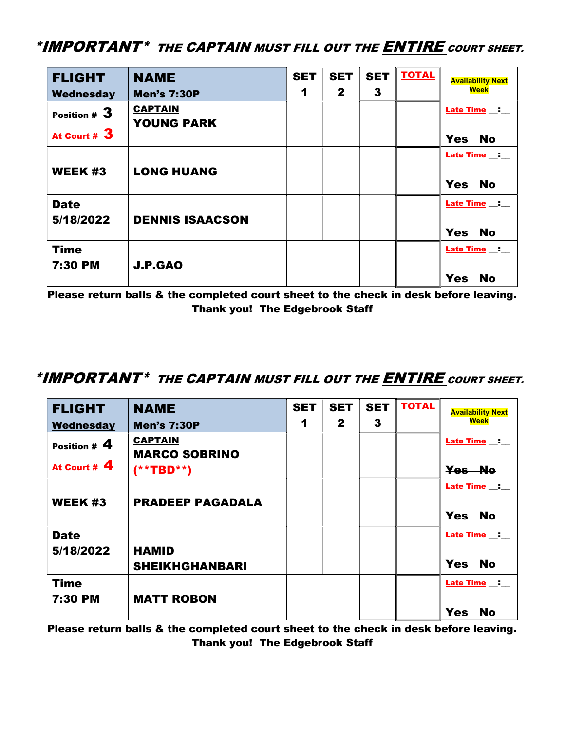## \*IMPORTANT\* THE CAPTAIN MUST FILL OUT THE ENTIRE COURT SHEET.

| <b>FLIGHT</b>                   | <b>NAME</b>                         | <b>SET</b> | <b>SET</b>   | <b>SET</b> | <b>TOTAL</b> | <b>Availability Next</b>                           |
|---------------------------------|-------------------------------------|------------|--------------|------------|--------------|----------------------------------------------------|
| Wednesday                       | <b>Men's 7:30P</b>                  | 1          | $\mathbf{2}$ | 3          |              | <b>Week</b>                                        |
| Position $#3$<br>At Court # $3$ | <b>CAPTAIN</b><br><b>YOUNG PARK</b> |            |              |            |              | <b>Late Time __: __</b><br><b>No</b><br><b>Yes</b> |
| <b>WEEK #3</b>                  | <b>LONG HUANG</b>                   |            |              |            |              | <b>Late Time __: __</b><br>Yes No                  |
| <b>Date</b><br>5/18/2022        | <b>DENNIS ISAACSON</b>              |            |              |            |              | Late Time :<br><b>No</b><br><b>Yes</b>             |
| <b>Time</b><br>7:30 PM          | <b>J.P.GAO</b>                      |            |              |            |              | Late Time _:<br><b>Yes</b><br><b>No</b>            |

Please return balls & the completed court sheet to the check in desk before leaving. Thank you! The Edgebrook Staff

## \*IMPORTANT\* THE CAPTAIN MUST FILL OUT THE **ENTIRE** COURT SHEET.

| <b>FLIGHT</b>                    | <b>NAME</b>                                               | <b>SET</b> | <b>SET</b>   | <b>SET</b> | <b>TOTAL</b> | <b>Availability Next</b>                  |
|----------------------------------|-----------------------------------------------------------|------------|--------------|------------|--------------|-------------------------------------------|
| Wednesday                        | <b>Men's 7:30P</b>                                        | 1          | $\mathbf{2}$ | 3          |              | Week                                      |
| Position # $4$<br>At Court # $4$ | <b>CAPTAIN</b><br><b>MARCO SOBRINO</b><br>$(* * TBD * *)$ |            |              |            |              | <b>Late Time :</b><br>Yes No              |
| <b>WEEK#3</b>                    | <b>PRADEEP PAGADALA</b>                                   |            |              |            |              | Late Time :<br><b>Yes</b><br><b>No</b>    |
| <b>Date</b><br>5/18/2022         | <b>HAMID</b><br><b>SHEIKHGHANBARI</b>                     |            |              |            |              | Late Time _: _<br><b>Yes</b><br><b>No</b> |
| <b>Time</b><br>7:30 PM           | <b>MATT ROBON</b>                                         |            |              |            |              | Late Time _:<br><b>Yes</b><br><b>No</b>   |

Please return balls & the completed court sheet to the check in desk before leaving. Thank you! The Edgebrook Staff